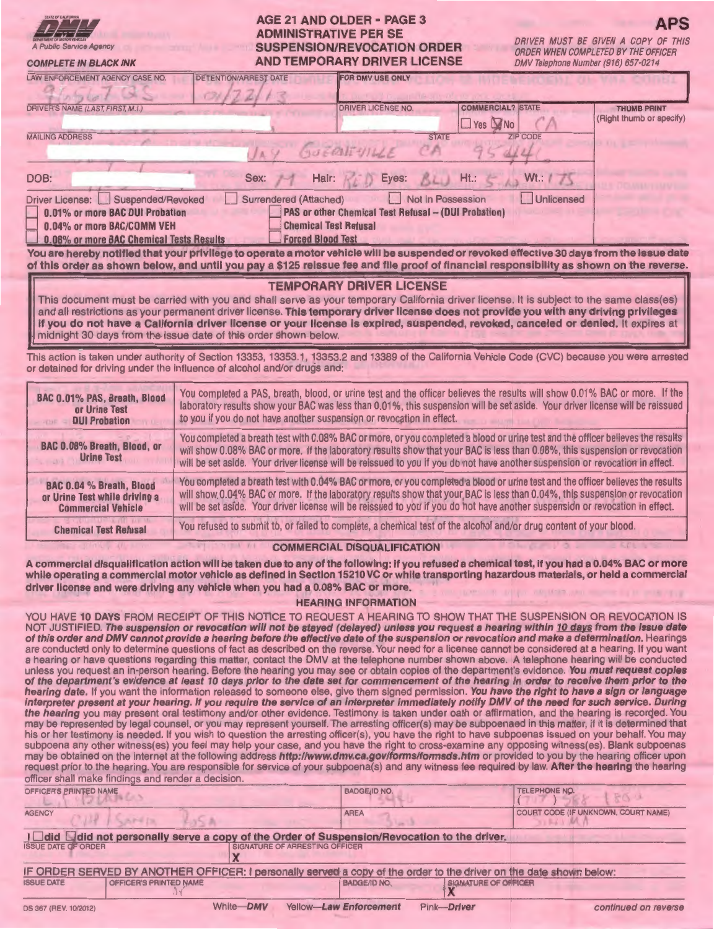| <b>ARTIMENT OF MOTOR VEHICLES</b><br>A Public Service Agency |  |
|--------------------------------------------------------------|--|

**COMPLETE IN BLACK INK** 

# **AGE 21 AND OLDER • PAGE 3 ADMINISTRATIVE PER SE SUSPENSION/REVOCATION ORDER AND TEMPORARY DRIVER LICENSE**

**APS**  DRIVER MUST BE GIVEN A COPY OF ORDER WHEN COMPLETED BY THE OFFICER DMV Telephone Number (916) 657·0214

| <b>DETENTION/ARREST DATE</b><br><b>LAW ENFORCEMENT AGENCY CASE NO.</b>                                                                                                                                                                                                   | <b>FOR DMV USE ONLY</b>         |                                                        |                                                |  |  |  |  |
|--------------------------------------------------------------------------------------------------------------------------------------------------------------------------------------------------------------------------------------------------------------------------|---------------------------------|--------------------------------------------------------|------------------------------------------------|--|--|--|--|
| DRIVER'S NAME (LAST, FIRST, M.I.)                                                                                                                                                                                                                                        | <b>DRIVER LICENSE NO.</b>       | <b>COMMERCIAL? STATE</b><br>$\square$ Yes $\square$ No | <b>THUMB PRINT</b><br>(Right thumb or specify) |  |  |  |  |
| <b>MAILING ADDRESS</b>                                                                                                                                                                                                                                                   | <b>STATE</b><br>GUERNIUME<br>ŦА | <b>ZIP CODE</b>                                        |                                                |  |  |  |  |
| Hair:<br>DOB:<br>Sex:                                                                                                                                                                                                                                                    | Eyes:                           | $Ht$ .:<br>Wt.: I                                      |                                                |  |  |  |  |
| Unlicensed<br>Not in Possession<br>Suspended/Revoked<br>Surrendered (Attached)<br><b>Driver License:</b><br>0.01% or more BAC DUI Probation<br><b>PAS or other Chemical Test Refusal - (DUI Probation)</b><br><b>Chemical Test Refusal</b><br>0.04% or more BAC/COMM VEH |                                 |                                                        |                                                |  |  |  |  |
| 0.08% or more BAC Chemical Tests Results<br><b>Forced Blood Test</b>                                                                                                                                                                                                     |                                 |                                                        |                                                |  |  |  |  |

**You are hereby notified that your privilege to operate a motor vehicle will be suspended or revoked effective 30 days from the issue date of this order as shown below, and until you pay a \$125 reissue fee and file proof of financial responsibility as shown on the reverse.** 

### **TEMPORARY DRIVER LICENSE**

This document must be carried with you and shall serve as your temporary California driver license. It is subject to the same class(es) and all restrictions as your permanent driver license. **This temporary driver license does not provide you with any driving privileges if you do not have a California driver license or your license is expired, suspended, revoked, canceled or denied.** It expires at midnight 30 days from the issue date of this order shown below.

This action is taken under authority of Section 13353, 13353.1, 13353.2 and 13389 of the California Vehicle Code (CVC) because you were arrested or detained for driving under the influence of alcohol and/or drugs and:

| BAC 0.01% PAS, Breath, Blood                     | You completed a PAS, breath, blood, or urine test and the officer believes the results will show 0.01% BAC or more. If the                                                                                                                                                                                                                                                                      |
|--------------------------------------------------|-------------------------------------------------------------------------------------------------------------------------------------------------------------------------------------------------------------------------------------------------------------------------------------------------------------------------------------------------------------------------------------------------|
| or Urine Test                                    | laboratory results show your BAC was less than 0.01%, this suspension will be set aside. Your driver license will be reissued                                                                                                                                                                                                                                                                   |
| <b>DUI Probation</b>                             | to you if you do not have another suspension or revocation in effect.                                                                                                                                                                                                                                                                                                                           |
| BAC 0.08% Breath, Blood, or<br><b>Urine Test</b> | You completed a breath test with 0.08% BAC or more, or you completed a blood or urine test and the officer believes the results<br>will show 0.08% BAC or more. If the laboratory results show that your BAC is less than 0.08%, this suspension or revocation<br>will be set aside. Your driver license will be reissued to you if you do not have another suspension or revocation in effect. |
| BAC 0.04 % Breath, Blood                         | You completed a breath test with 0.04% BAC or more, or you completed a blood or urine test and the officer believes the results                                                                                                                                                                                                                                                                 |
| or Urine Test while driving a                    | will show 0.04% BAC or more. If the laboratory results show that your BAC is less than 0.04%, this suspension or revocation                                                                                                                                                                                                                                                                     |
| <b>Commercial Vehicle</b>                        | will be set aside. Your driver license will be reissued to you if you do not have another suspension or revocation in effect.                                                                                                                                                                                                                                                                   |
| <b>Chemical Test Refusal</b>                     | You refused to submit to, or failed to complete, a chemical test of the alcohol and/or drug content of your blood.                                                                                                                                                                                                                                                                              |

#### **COMMERCIAL DISQUALIFICATION**

**A commercial disqualification action will be taken due to any of the following: if you refused a chemical test, if you had a 0.04% BAC or more while operating a commercial motor vehicle as defined in Section 15210 VC or while transporting hazardous materials, or held a commercial driver license and were driving any vehicle when you had a 0.08% BAC or more.** 

#### **HEARING INFORMATION**

YOU HAVE **10 DAYS** FROM RECEIPT OF THIS NOTICE TO REQUEST A HEARING TO SHOW THAT THE SUSPENSION OR REVOCATION IS NOT JUSTIFIED. **The suspension or revocation will not be stayed (delayed) unless you request a hearing within 10 days from the issue date of this order and DMV cannot provide a hearing before the effective date of the suspension or revocation and make a determination.** Hearings are conducted only to determine questions of fact as described on the reverse. Your need for a license cannot be considered at a hearing. If you want a hearing or have questions regarding this matter, contact the DMV at the telephone number shown above. A telephone hearing will be conducted unless you request an in-person hearing. Before the hearing you may see or obtain copies of the department's evidence. **You must request copies of the department's evidence at least 10 days prior to the date set for commencement of the hearing in order to receive them prior to the hearing date.** If you want the information released to someone else, give them signed permission. **You have the right to have a sign or language interpreter present at your hearing. If you require the service of an interpreter immediately notify DMV of the need for such service. During**  the hearing you may present oral testimony and/or other evidence. Testimony is taken under oath or affirmation, and the hearing is recorded. You may be represented by legal counsel, or you may represent yourself. The arresting officer(s) may be subpoenaed in this matter, if it is determined that his or her testimony is needed. If you wish to question the arresting officer(s), you have the right to have subpoenas issued on your behalf. You may subpoena any other witness(es) you feel may help your case, and you have the right to cross-examine any opposing witness(es). Blank subpoenas may be obtained on the internet at the following address **http://www.dmv.ca.gov/forms/formsds.htm** or provided to you by the hearing officer upon request prior to the hearing. You are responsible for service of your subpoena(s) and any witness fee required by law. **After the hearing** the hearing officer shall make findings and render a decision.

| OFFICER'S PRINTED NAME                                                                         |                        |                                                                                                                    | <b>BADGE/ID NO.</b>    |                             | TELEPHONE NO.<br><b>PA</b>          |  |  |  |
|------------------------------------------------------------------------------------------------|------------------------|--------------------------------------------------------------------------------------------------------------------|------------------------|-----------------------------|-------------------------------------|--|--|--|
| <b>AGENCY</b>                                                                                  | AP4 19                 |                                                                                                                    | <b>AREA</b>            |                             | COURT CODE (IF UNKNOWN, COURT NAME) |  |  |  |
| I I did D did not personally serve a copy of the Order of Suspension/Revocation to the driver. |                        |                                                                                                                    |                        |                             |                                     |  |  |  |
| <b>ISSUE DATE OF ORDER</b>                                                                     |                        | SIGNATURE OF ARRESTING OFFICER                                                                                     |                        |                             |                                     |  |  |  |
|                                                                                                |                        | IF ORDER SERVED BY ANOTHER OFFICER: I personally served a copy of the order to the driver on the date shown below: |                        |                             |                                     |  |  |  |
| <b>ISSUE DATE</b>                                                                              | OFFICER'S PRINTED NAME |                                                                                                                    | <b>BADGE/ID NO.</b>    | <b>SIGNATURE OF ORFICER</b> |                                     |  |  |  |
| DS 367 (REV. 10/2012)                                                                          |                        | White-DMV                                                                                                          | Yellow-Law Enforcement | Pink-Driver                 | continued on reverse                |  |  |  |